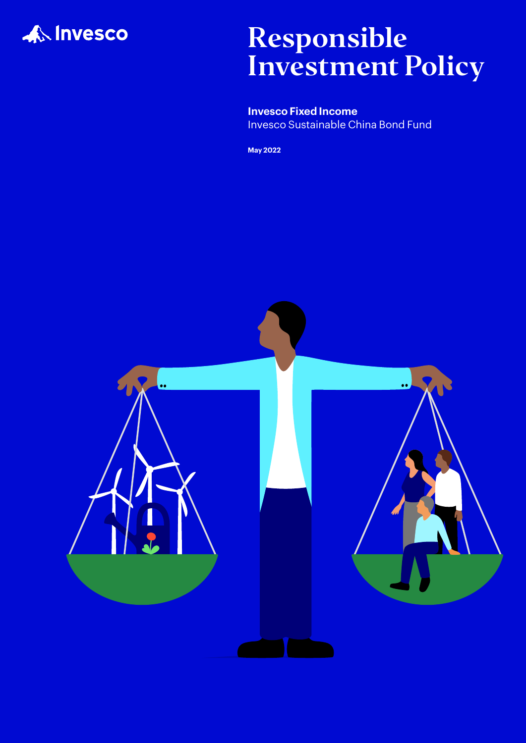

# Responsible Investment Policy

**Invesco Fixed Income** Invesco Sustainable China Bond Fund

**May 2022**

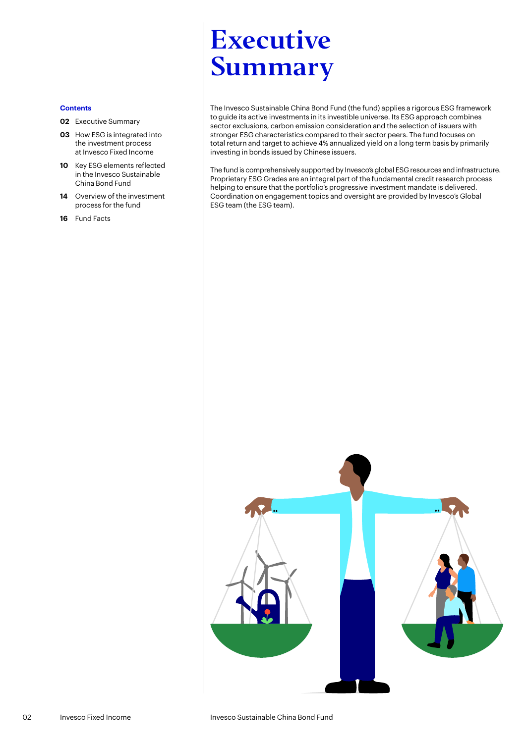# <span id="page-1-0"></span>Executive Summary

The Invesco Sustainable China Bond Fund (the fund) applies a rigorous ESG framework to guide its active investments in its investible universe. Its ESG approach combines sector exclusions, carbon emission consideration and the selection of issuers with stronger ESG characteristics compared to their sector peers. The fund focuses on total return and target to achieve 4% annualized yield on a long term basis by primarily investing in bonds issued by Chinese issuers.

The fund is comprehensively supported by Invesco's global ESG resources and infrastructure. Proprietary ESG Grades are an integral part of the fundamental credit research process helping to ensure that the portfolio's progressive investment mandate is delivered. Coordination on engagement topics and oversight are provided by Invesco's Global ESG team (the ESG team).

#### **Contents**

- **02** [Executive Summary](#page-1-0)
- **03** [How ESG is integrated into](#page-2-0)  [the investment process](#page-2-0)  [at Invesco Fixed Income](#page-2-0)
- **10** [Key ESG elements reflected](#page-8-0)  [in the Invesco Sustainable](#page-8-0)  [China Bond Fund](#page-8-0)
- **14** [Overview of the investment](#page-12-0)  [process for the fund](#page-12-0)
- **16** [Fund Facts](#page-14-0)

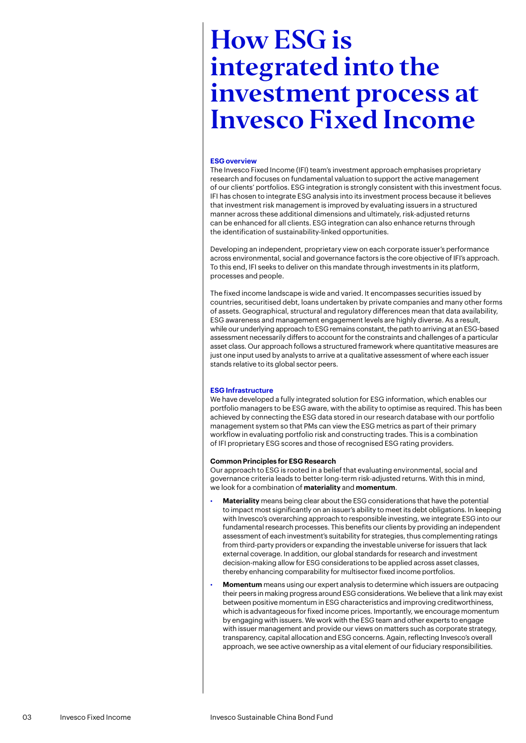## <span id="page-2-0"></span>**ESG overview**

The Invesco Fixed Income (IFI) team's investment approach emphasises proprietary research and focuses on fundamental valuation to support the active management of our clients' portfolios. ESG integration is strongly consistent with this investment focus. IFI has chosen to integrate ESG analysis into its investment process because it believes that investment risk management is improved by evaluating issuers in a structured manner across these additional dimensions and ultimately, risk-adjusted returns can be enhanced for all clients. ESG integration can also enhance returns through the identification of sustainability-linked opportunities.

Developing an independent, proprietary view on each corporate issuer's performance across environmental, social and governance factors is the core objective of IFI's approach. To this end, IFI seeks to deliver on this mandate through investments in its platform, processes and people.

The fixed income landscape is wide and varied. It encompasses securities issued by countries, securitised debt, loans undertaken by private companies and many other forms of assets. Geographical, structural and regulatory differences mean that data availability, ESG awareness and management engagement levels are highly diverse. As a result, while our underlying approach to ESG remains constant, the path to arriving at an ESG-based assessment necessarily differs to account for the constraints and challenges of a particular asset class. Our approach follows a structured framework where quantitative measures are just one input used by analysts to arrive at a qualitative assessment of where each issuer stands relative to its global sector peers.

#### **ESG Infrastructure**

We have developed a fully integrated solution for ESG information, which enables our portfolio managers to be ESG aware, with the ability to optimise as required. This has been achieved by connecting the ESG data stored in our research database with our portfolio management system so that PMs can view the ESG metrics as part of their primary workflow in evaluating portfolio risk and constructing trades. This is a combination of IFI proprietary ESG scores and those of recognised ESG rating providers.

#### **Common Principles for ESG Research**

Our approach to ESG is rooted in a belief that evaluating environmental, social and governance criteria leads to better long-term risk-adjusted returns. With this in mind, we look for a combination of **materiality** and **momentum**.

- **Materiality** means being clear about the ESG considerations that have the potential to impact most significantly on an issuer's ability to meet its debt obligations. In keeping with Invesco's overarching approach to responsible investing, we integrate ESG into our fundamental research processes. This benefits our clients by providing an independent assessment of each investment's suitability for strategies, thus complementing ratings from third-party providers or expanding the investable universe for issuers that lack external coverage. In addition, our global standards for research and investment decision-making allow for ESG considerations to be applied across asset classes, thereby enhancing comparability for multisector fixed income portfolios.
- **Momentum** means using our expert analysis to determine which issuers are outpacing their peers in making progress around ESG considerations. We believe that a link may exist between positive momentum in ESG characteristics and improving creditworthiness, which is advantageous for fixed income prices. Importantly, we encourage momentum by engaging with issuers. We work with the ESG team and other experts to engage with issuer management and provide our views on matters such as corporate strategy, transparency, capital allocation and ESG concerns. Again, reflecting Invesco's overall approach, we see active ownership as a vital element of our fiduciary responsibilities.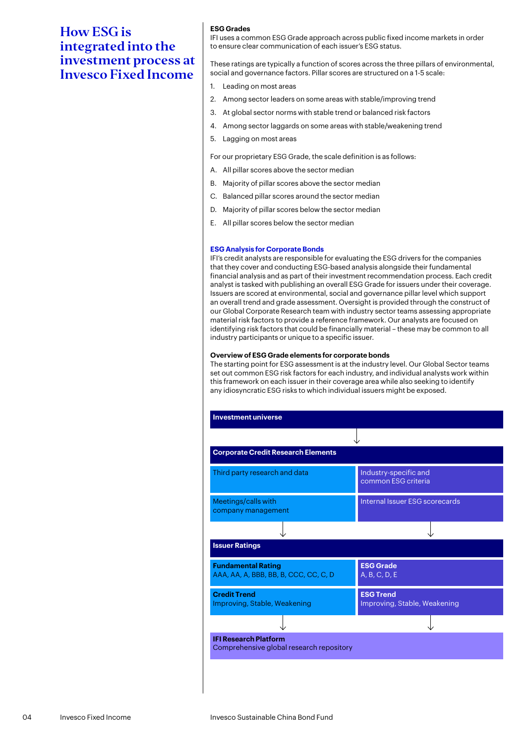# **ESG Grades**

IFI uses a common ESG Grade approach across public fixed income markets in order to ensure clear communication of each issuer's ESG status.

These ratings are typically a function of scores across the three pillars of environmental, social and governance factors. Pillar scores are structured on a 1-5 scale:

- 1. Leading on most areas
- 2. Among sector leaders on some areas with stable/improving trend
- 3. At global sector norms with stable trend or balanced risk factors
- 4. Among sector laggards on some areas with stable/weakening trend
- 5. Lagging on most areas

For our proprietary ESG Grade, the scale definition is as follows:

- A. All pillar scores above the sector median
- B. Majority of pillar scores above the sector median
- C. Balanced pillar scores around the sector median
- D. Majority of pillar scores below the sector median
- E. All pillar scores below the sector median

### **ESG Analysis for Corporate Bonds**

IFI's credit analysts are responsible for evaluating the ESG drivers for the companies that they cover and conducting ESG-based analysis alongside their fundamental financial analysis and as part of their investment recommendation process. Each credit analyst is tasked with publishing an overall ESG Grade for issuers under their coverage. Issuers are scored at environmental, social and governance pillar level which support an overall trend and grade assessment. Oversight is provided through the construct of our Global Corporate Research team with industry sector teams assessing appropriate material risk factors to provide a reference framework. Our analysts are focused on identifying risk factors that could be financially material – these may be common to all industry participants or unique to a specific issuer.

#### **Overview of ESG Grade elements for corporate bonds**

The starting point for ESG assessment is at the industry level. Our Global Sector teams set out common ESG risk factors for each industry, and individual analysts work within this framework on each issuer in their coverage area while also seeking to identify any idiosyncratic ESG risks to which individual issuers might be exposed.

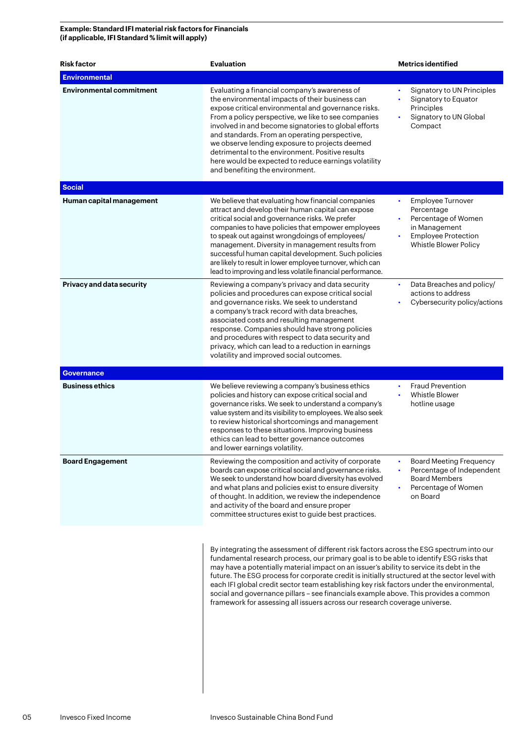# **Example: Standard IFI material risk factors for Financials (if applicable, IFI Standard % limit will apply)**

| <b>Risk factor</b>              | <b>Evaluation</b>                                                                                                                                                                                                                                                                                                                                                                                                                                                                                                                                                                                                                                   | <b>Metrics identified</b>                                                                                                                   |
|---------------------------------|-----------------------------------------------------------------------------------------------------------------------------------------------------------------------------------------------------------------------------------------------------------------------------------------------------------------------------------------------------------------------------------------------------------------------------------------------------------------------------------------------------------------------------------------------------------------------------------------------------------------------------------------------------|---------------------------------------------------------------------------------------------------------------------------------------------|
| <b>Environmental</b>            |                                                                                                                                                                                                                                                                                                                                                                                                                                                                                                                                                                                                                                                     |                                                                                                                                             |
| <b>Environmental commitment</b> | Evaluating a financial company's awareness of<br>the environmental impacts of their business can<br>expose critical environmental and governance risks.<br>From a policy perspective, we like to see companies<br>involved in and become signatories to global efforts<br>and standards. From an operating perspective,<br>we observe lending exposure to projects deemed<br>detrimental to the environment. Positive results<br>here would be expected to reduce earnings volatility<br>and benefiting the environment.                                                                                                                            | Signatory to UN Principles<br>$\bullet$<br>Signatory to Equator<br>Principles<br>Signatory to UN Global<br>Compact                          |
| <b>Social</b>                   |                                                                                                                                                                                                                                                                                                                                                                                                                                                                                                                                                                                                                                                     |                                                                                                                                             |
| Human capital management        | We believe that evaluating how financial companies<br>attract and develop their human capital can expose<br>critical social and governance risks. We prefer<br>companies to have policies that empower employees<br>to speak out against wrongdoings of employees/<br>management. Diversity in management results from<br>successful human capital development. Such policies<br>are likely to result in lower employee turnover, which can<br>lead to improving and less volatile financial performance.                                                                                                                                           | Employee Turnover<br>$\bullet$<br>Percentage<br>Percentage of Women<br>in Management<br><b>Employee Protection</b><br>Whistle Blower Policy |
| Privacy and data security       | Reviewing a company's privacy and data security<br>policies and procedures can expose critical social<br>and governance risks. We seek to understand<br>a company's track record with data breaches,<br>associated costs and resulting management<br>response. Companies should have strong policies<br>and procedures with respect to data security and<br>privacy, which can lead to a reduction in earnings<br>volatility and improved social outcomes.                                                                                                                                                                                          | Data Breaches and policy/<br>$\bullet$<br>actions to address<br>Cybersecurity policy/actions                                                |
| <b>Governance</b>               |                                                                                                                                                                                                                                                                                                                                                                                                                                                                                                                                                                                                                                                     |                                                                                                                                             |
| <b>Business ethics</b>          | We believe reviewing a company's business ethics<br>policies and history can expose critical social and<br>governance risks. We seek to understand a company's<br>value system and its visibility to employees. We also seek<br>to review historical shortcomings and management<br>responses to these situations. Improving business<br>ethics can lead to better governance outcomes<br>and lower earnings volatility.                                                                                                                                                                                                                            | <b>Fraud Prevention</b><br>Whistle Blower<br>hotline usage                                                                                  |
| <b>Board Engagement</b>         | Reviewing the composition and activity of corporate<br>boards can expose critical social and governance risks.<br>We seek to understand how board diversity has evolved<br>and what plans and policies exist to ensure diversity<br>of thought. In addition, we review the independence<br>and activity of the board and ensure proper<br>committee structures exist to guide best practices.                                                                                                                                                                                                                                                       | <b>Board Meeting Frequency</b><br>Percentage of Independent<br><b>Board Members</b><br>Percentage of Women<br>on Board                      |
|                                 | By integrating the assessment of different risk factors across the ESG spectrum into our<br>fundamental research process, our primary goal is to be able to identify ESG risks that<br>may have a potentially material impact on an issuer's ability to service its debt in the<br>future. The ESG process for corporate credit is initially structured at the sector level with<br>each IFI global credit sector team establishing key risk factors under the environmental,<br>social and governance pillars - see financials example above. This provides a common<br>framework for assessing all issuers across our research coverage universe. |                                                                                                                                             |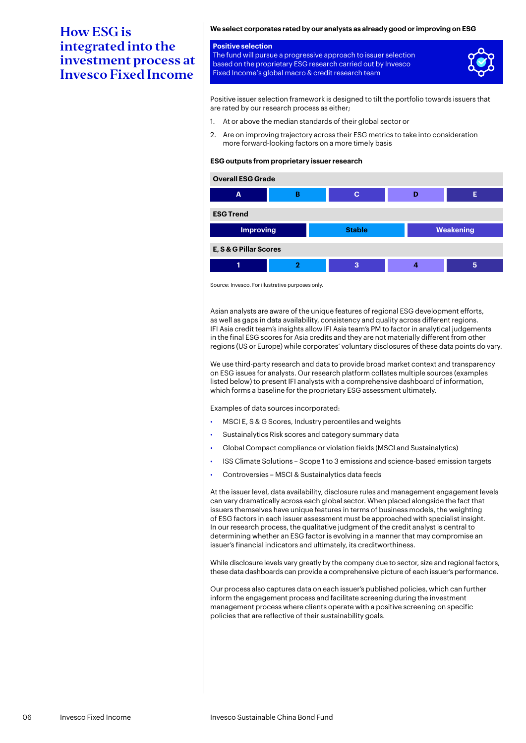# **We select corporates rated by our analysts as already good or improving on ESG**

### **Positive selection** The fund will pursue a progressive approach to issuer selection based on the proprietary ESG research carried out by Invesco Fixed Income's global macro & credit research team



Positive issuer selection framework is designed to tilt the portfolio towards issuers that are rated by our research process as either;

- 1. At or above the median standards of their global sector or
- 2. Are on improving trajectory across their ESG metrics to take into consideration more forward-looking factors on a more timely basis

### **ESG outputs from proprietary issuer research**



Source: Invesco. For illustrative purposes only.

Asian analysts are aware of the unique features of regional ESG development efforts, as well as gaps in data availability, consistency and quality across different regions. IFI Asia credit team's insights allow IFI Asia team's PM to factor in analytical judgements in the final ESG scores for Asia credits and they are not materially different from other regions (US or Europe) while corporates' voluntary disclosures of these data points do vary.

We use third-party research and data to provide broad market context and transparency on ESG issues for analysts. Our research platform collates multiple sources (examples listed below) to present IFI analysts with a comprehensive dashboard of information, which forms a baseline for the proprietary ESG assessment ultimately.

Examples of data sources incorporated:

- MSCI E, S & G Scores, Industry percentiles and weights
- Sustainalytics Risk scores and category summary data
- Global Compact compliance or violation fields (MSCI and Sustainalytics)
- ISS Climate Solutions Scope 1 to 3 emissions and science-based emission targets
- Controversies MSCI & Sustainalytics data feeds

At the issuer level, data availability, disclosure rules and management engagement levels can vary dramatically across each global sector. When placed alongside the fact that issuers themselves have unique features in terms of business models, the weighting of ESG factors in each issuer assessment must be approached with specialist insight. In our research process, the qualitative judgment of the credit analyst is central to determining whether an ESG factor is evolving in a manner that may compromise an issuer's financial indicators and ultimately, its creditworthiness.

While disclosure levels vary greatly by the company due to sector, size and regional factors, these data dashboards can provide a comprehensive picture of each issuer's performance.

Our process also captures data on each issuer's published policies, which can further inform the engagement process and facilitate screening during the investment management process where clients operate with a positive screening on specific policies that are reflective of their sustainability goals.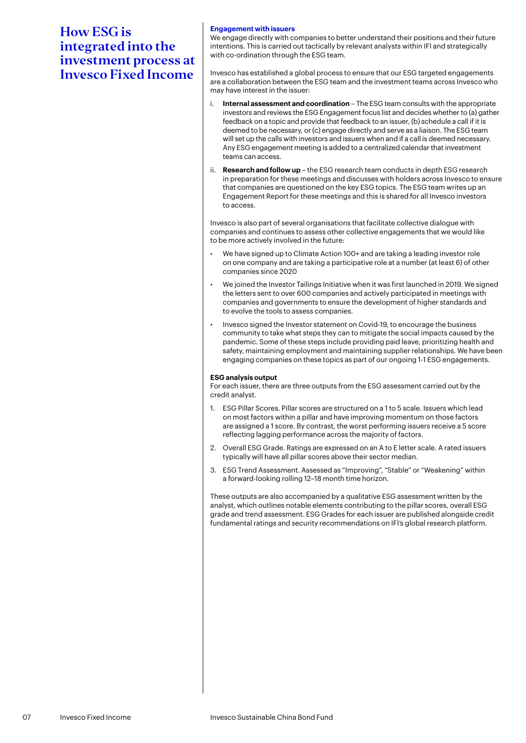# **Engagement with issuers**

We engage directly with companies to better understand their positions and their future intentions. This is carried out tactically by relevant analysts within IFI and strategically with co-ordination through the ESG team.

Invesco has established a global process to ensure that our ESG targeted engagements are a collaboration between the ESG team and the investment teams across Invesco who may have interest in the issuer:

- i. **Internal assessment and coordination** The ESG team consults with the appropriate investors and reviews the ESG Engagement focus list and decides whether to (a) gather feedback on a topic and provide that feedback to an issuer, (b) schedule a call if it is deemed to be necessary, or (c) engage directly and serve as a liaison. The ESG team will set up the calls with investors and issuers when and if a call is deemed necessary. Any ESG engagement meeting is added to a centralized calendar that investment teams can access.
- ii. **Research and follow up** the ESG research team conducts in depth ESG research in preparation for these meetings and discusses with holders across Invesco to ensure that companies are questioned on the key ESG topics. The ESG team writes up an Engagement Report for these meetings and this is shared for all Invesco investors to access.

Invesco is also part of several organisations that facilitate collective dialogue with companies and continues to assess other collective engagements that we would like to be more actively involved in the future:

- We have signed up to Climate Action 100+ and are taking a leading investor role on one company and are taking a participative role at a number (at least 6) of other companies since 2020
- We joined the Investor Tailings Initiative when it was first launched in 2019. We signed the letters sent to over 600 companies and actively participated in meetings with companies and governments to ensure the development of higher standards and to evolve the tools to assess companies.
- Invesco signed the Investor statement on Covid-19, to encourage the business community to take what steps they can to mitigate the social impacts caused by the pandemic. Some of these steps include providing paid leave, prioritizing health and safety, maintaining employment and maintaining supplier relationships. We have been engaging companies on these topics as part of our ongoing 1-1 ESG engagements.

## **ESG analysis output**

For each issuer, there are three outputs from the ESG assessment carried out by the credit analyst.

- 1. ESG Pillar Scores. Pillar scores are structured on a 1 to 5 scale. Issuers which lead on most factors within a pillar and have improving momentum on those factors are assigned a 1 score. By contrast, the worst performing issuers receive a 5 score reflecting lagging performance across the majority of factors.
- 2. Overall ESG Grade. Ratings are expressed on an A to E letter scale. A rated issuers typically will have all pillar scores above their sector median.
- 3. ESG Trend Assessment. Assessed as "Improving", "Stable" or "Weakening" within a forward-looking rolling 12–18 month time horizon.

These outputs are also accompanied by a qualitative ESG assessment written by the analyst, which outlines notable elements contributing to the pillar scores, overall ESG grade and trend assessment. ESG Grades for each issuer are published alongside credit fundamental ratings and security recommendations on IFI's global research platform.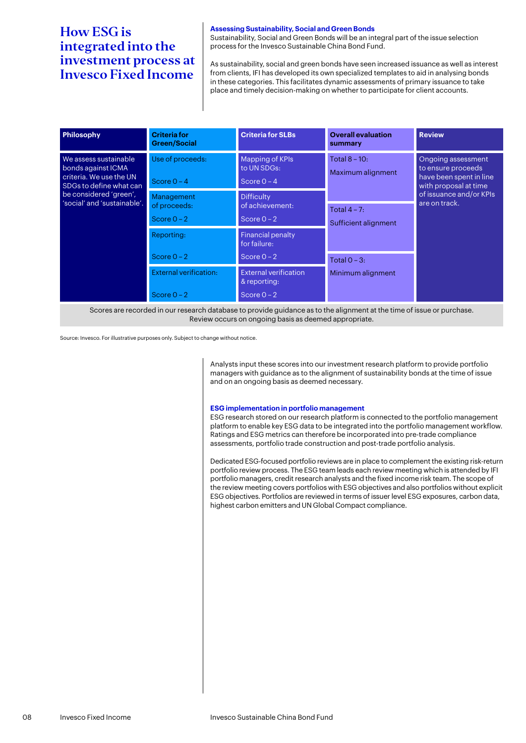# **Assessing Sustainability, Social and Green Bonds**

Sustainability, Social and Green Bonds will be an integral part of the issue selection process for the Invesco Sustainable China Bond Fund.

As sustainability, social and green bonds have seen increased issuance as well as interest from clients, IFI has developed its own specialized templates to aid in analysing bonds in these categories. This facilitates dynamic assessments of primary issuance to take place and timely decision-making on whether to participate for client accounts.

| <b>Philosophy</b>                                                                                                                                          | <b>Criteria for</b><br><b>Green/Social</b>     | <b>Criteria for SLBs</b>                                      | <b>Overall evaluation</b><br>summary    | <b>Review</b>                                                                                                                            |
|------------------------------------------------------------------------------------------------------------------------------------------------------------|------------------------------------------------|---------------------------------------------------------------|-----------------------------------------|------------------------------------------------------------------------------------------------------------------------------------------|
| We assess sustainable<br>bonds against ICMA<br>criteria. We use the UN<br>SDGs to define what can<br>be considered 'green',<br>'social' and 'sustainable'. | Use of proceeds:<br>Score $0 - 4$              | Mapping of KPIs<br>to UN SDGs:<br>Score $0 - 4$               | Total $8 - 10$ :<br>Maximum alignment   | Ongoing assessment<br>to ensure proceeds<br>have been spent in line<br>with proposal at time<br>of issuance and/or KPIs<br>are on track. |
|                                                                                                                                                            | Management<br>of proceeds:<br>Score $0 - 2$    | <b>Difficulty</b><br>of achievement:<br>Score $0 - 2$         | Total $4 - 7$ :<br>Sufficient alignment |                                                                                                                                          |
|                                                                                                                                                            | Reporting:<br>Score $0 - 2$                    | <b>Financial penalty</b><br>for failure:<br>Score $0 - 2$     | Total $0 - 3$ :                         |                                                                                                                                          |
|                                                                                                                                                            | <b>External verification:</b><br>Score $0 - 2$ | <b>External verification</b><br>& reporting:<br>Score $0 - 2$ | Minimum alignment                       |                                                                                                                                          |

Scores are recorded in our research database to provide guidance as to the alignment at the time of issue or purchase. Review occurs on ongoing basis as deemed appropriate.

Source: Invesco. For illustrative purposes only. Subject to change without notice.

Analysts input these scores into our investment research platform to provide portfolio managers with guidance as to the alignment of sustainability bonds at the time of issue and on an ongoing basis as deemed necessary.

#### **ESG implementation in portfolio management**

ESG research stored on our research platform is connected to the portfolio management platform to enable key ESG data to be integrated into the portfolio management workflow. Ratings and ESG metrics can therefore be incorporated into pre-trade compliance assessments, portfolio trade construction and post-trade portfolio analysis.

Dedicated ESG-focused portfolio reviews are in place to complement the existing risk-return portfolio review process. The ESG team leads each review meeting which is attended by IFI portfolio managers, credit research analysts and the fixed income risk team. The scope of the review meeting covers portfolios with ESG objectives and also portfolios without explicit ESG objectives. Portfolios are reviewed in terms of issuer level ESG exposures, carbon data, highest carbon emitters and UN Global Compact compliance.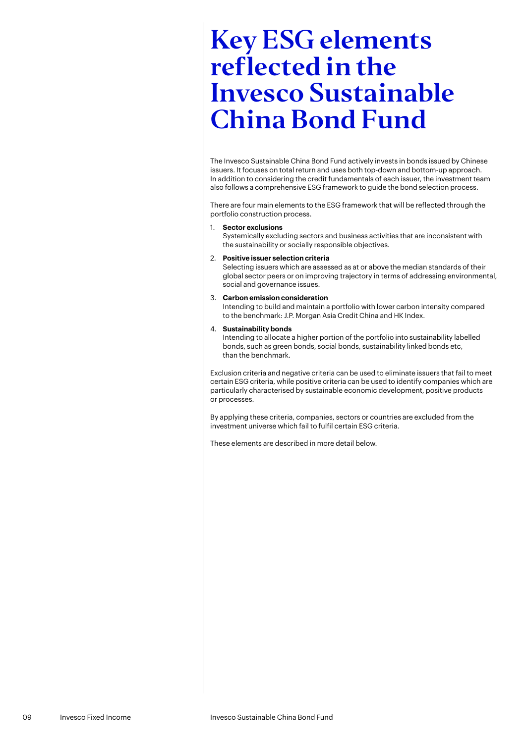<span id="page-8-0"></span>The Invesco Sustainable China Bond Fund actively invests in bonds issued by Chinese issuers. It focuses on total return and uses both top-down and bottom-up approach. In addition to considering the credit fundamentals of each issuer, the investment team also follows a comprehensive ESG framework to guide the bond selection process.

There are four main elements to the ESG framework that will be reflected through the portfolio construction process.

### 1. **Sector exclusions**

Systemically excluding sectors and business activities that are inconsistent with the sustainability or socially responsible objectives.

#### 2. **Positive issuer selection criteria**

Selecting issuers which are assessed as at or above the median standards of their global sector peers or on improving trajectory in terms of addressing environmental, social and governance issues.

#### 3. **Carbon emission consideration**

Intending to build and maintain a portfolio with lower carbon intensity compared to the benchmark: J.P. Morgan Asia Credit China and HK Index.

#### 4. **Sustainability bonds**

Intending to allocate a higher portion of the portfolio into sustainability labelled bonds, such as green bonds, social bonds, sustainability linked bonds etc, than the benchmark.

Exclusion criteria and negative criteria can be used to eliminate issuers that fail to meet certain ESG criteria, while positive criteria can be used to identify companies which are particularly characterised by sustainable economic development, positive products or processes.

By applying these criteria, companies, sectors or countries are excluded from the investment universe which fail to fulfil certain ESG criteria.

These elements are described in more detail below.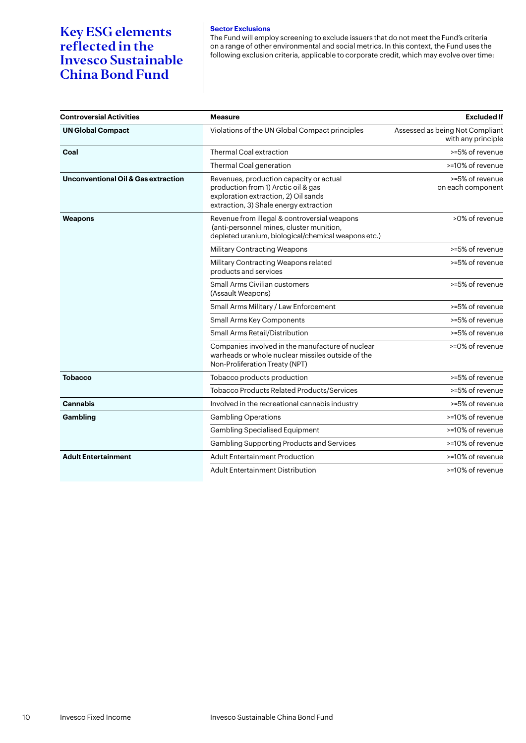# **Sector Exclusions**

The Fund will employ screening to exclude issuers that do not meet the Fund's criteria on a range of other environmental and social metrics. In this context, the Fund uses the following exclusion criteria, applicable to corporate credit, which may evolve over time:

| <b>Controversial Activities</b>                | <b>Measure</b>                                                                                                                                                   | <b>Excluded If</b>                                    |
|------------------------------------------------|------------------------------------------------------------------------------------------------------------------------------------------------------------------|-------------------------------------------------------|
| <b>UN Global Compact</b>                       | Violations of the UN Global Compact principles                                                                                                                   | Assessed as being Not Compliant<br>with any principle |
| Coal                                           | Thermal Coal extraction                                                                                                                                          | >=5% of revenue                                       |
|                                                | Thermal Coal generation                                                                                                                                          | >=10% of revenue                                      |
| <b>Unconventional Oil &amp; Gas extraction</b> | Revenues, production capacity or actual<br>production from 1) Arctic oil & gas<br>exploration extraction, 2) Oil sands<br>extraction, 3) Shale energy extraction | >=5% of revenue<br>on each component                  |
| Weapons                                        | Revenue from illegal & controversial weapons<br>(anti-personnel mines, cluster munition,<br>depleted uranium, biological/chemical weapons etc.)                  | >0% of revenue                                        |
|                                                | <b>Military Contracting Weapons</b>                                                                                                                              | >=5% of revenue                                       |
|                                                | Military Contracting Weapons related<br>products and services                                                                                                    | >=5% of revenue                                       |
|                                                | <b>Small Arms Civilian customers</b><br>(Assault Weapons)                                                                                                        | >=5% of revenue                                       |
|                                                | Small Arms Military / Law Enforcement                                                                                                                            | >=5% of revenue                                       |
|                                                | Small Arms Key Components                                                                                                                                        | >=5% of revenue                                       |
|                                                | Small Arms Retail/Distribution                                                                                                                                   | >=5% of revenue                                       |
|                                                | Companies involved in the manufacture of nuclear<br>warheads or whole nuclear missiles outside of the<br>Non-Proliferation Treaty (NPT)                          | >=0% of revenue                                       |
| <b>Tobacco</b>                                 | Tobacco products production                                                                                                                                      | >=5% of revenue                                       |
|                                                | <b>Tobacco Products Related Products/Services</b>                                                                                                                | >=5% of revenue                                       |
| <b>Cannabis</b>                                | Involved in the recreational cannabis industry                                                                                                                   | >=5% of revenue                                       |
| Gambling                                       | <b>Gambling Operations</b>                                                                                                                                       | >=10% of revenue                                      |
|                                                | <b>Gambling Specialised Equipment</b>                                                                                                                            | >=10% of revenue                                      |
|                                                | Gambling Supporting Products and Services                                                                                                                        | >=10% of revenue                                      |
| <b>Adult Entertainment</b>                     | <b>Adult Entertainment Production</b>                                                                                                                            | >=10% of revenue                                      |
|                                                | <b>Adult Entertainment Distribution</b>                                                                                                                          | >=10% of revenue                                      |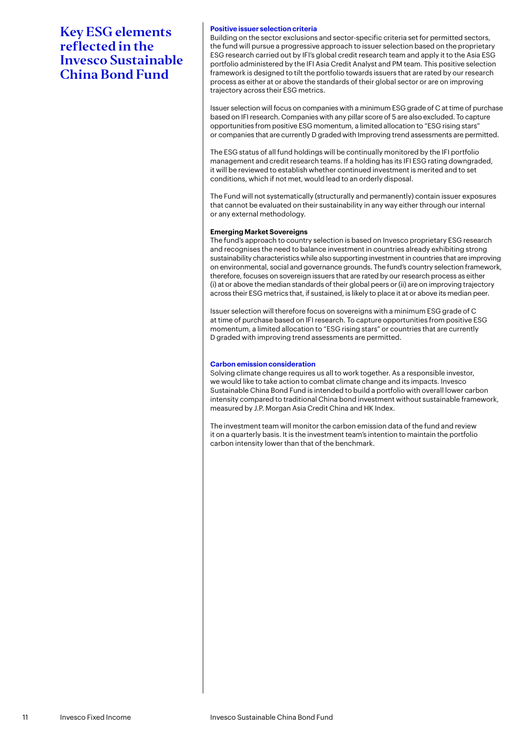### **Positive issuer selection criteria**

Building on the sector exclusions and sector-specific criteria set for permitted sectors, the fund will pursue a progressive approach to issuer selection based on the proprietary ESG research carried out by IFI's global credit research team and apply it to the Asia ESG portfolio administered by the IFI Asia Credit Analyst and PM team. This positive selection framework is designed to tilt the portfolio towards issuers that are rated by our research process as either at or above the standards of their global sector or are on improving trajectory across their ESG metrics.

Issuer selection will focus on companies with a minimum ESG grade of C at time of purchase based on IFI research. Companies with any pillar score of 5 are also excluded. To capture opportunities from positive ESG momentum, a limited allocation to "ESG rising stars" or companies that are currently D graded with Improving trend assessments are permitted.

The ESG status of all fund holdings will be continually monitored by the IFI portfolio management and credit research teams. If a holding has its IFI ESG rating downgraded, it will be reviewed to establish whether continued investment is merited and to set conditions, which if not met, would lead to an orderly disposal.

The Fund will not systematically (structurally and permanently) contain issuer exposures that cannot be evaluated on their sustainability in any way either through our internal or any external methodology.

#### **Emerging Market Sovereigns**

The fund's approach to country selection is based on Invesco proprietary ESG research and recognises the need to balance investment in countries already exhibiting strong sustainability characteristics while also supporting investment in countries that are improving on environmental, social and governance grounds. The fund's country selection framework, therefore, focuses on sovereign issuers that are rated by our research process as either (i) at or above the median standards of their global peers or (ii) are on improving trajectory across their ESG metrics that, if sustained, is likely to place it at or above its median peer.

Issuer selection will therefore focus on sovereigns with a minimum ESG grade of C at time of purchase based on IFI research. To capture opportunities from positive ESG momentum, a limited allocation to "ESG rising stars" or countries that are currently D graded with improving trend assessments are permitted.

## **Carbon emission consideration**

Solving climate change requires us all to work together. As a responsible investor, we would like to take action to combat climate change and its impacts. Invesco Sustainable China Bond Fund is intended to build a portfolio with overall lower carbon intensity compared to traditional China bond investment without sustainable framework, measured by J.P. Morgan Asia Credit China and HK Index.

The investment team will monitor the carbon emission data of the fund and review it on a quarterly basis. It is the investment team's intention to maintain the portfolio carbon intensity lower than that of the benchmark.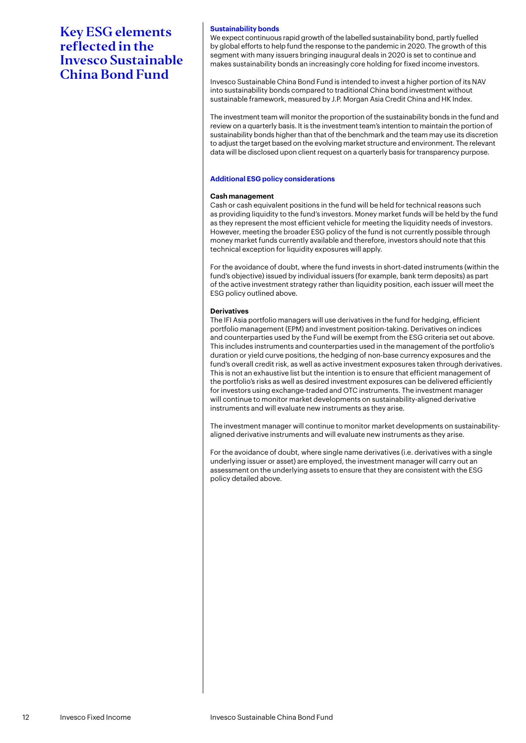## **Sustainability bonds**

We expect continuous rapid growth of the labelled sustainability bond, partly fuelled by global efforts to help fund the response to the pandemic in 2020. The growth of this segment with many issuers bringing inaugural deals in 2020 is set to continue and makes sustainability bonds an increasingly core holding for fixed income investors.

Invesco Sustainable China Bond Fund is intended to invest a higher portion of its NAV into sustainability bonds compared to traditional China bond investment without sustainable framework, measured by J.P. Morgan Asia Credit China and HK Index.

The investment team will monitor the proportion of the sustainability bonds in the fund and review on a quarterly basis. It is the investment team's intention to maintain the portion of sustainability bonds higher than that of the benchmark and the team may use its discretion to adjust the target based on the evolving market structure and environment. The relevant data will be disclosed upon client request on a quarterly basis for transparency purpose.

#### **Additional ESG policy considerations**

#### **Cash management**

Cash or cash equivalent positions in the fund will be held for technical reasons such as providing liquidity to the fund's investors. Money market funds will be held by the fund as they represent the most efficient vehicle for meeting the liquidity needs of investors. However, meeting the broader ESG policy of the fund is not currently possible through money market funds currently available and therefore, investors should note that this technical exception for liquidity exposures will apply.

For the avoidance of doubt, where the fund invests in short-dated instruments (within the fund's objective) issued by individual issuers (for example, bank term deposits) as part of the active investment strategy rather than liquidity position, each issuer will meet the ESG policy outlined above.

#### **Derivatives**

The IFI Asia portfolio managers will use derivatives in the fund for hedging, efficient portfolio management (EPM) and investment position-taking. Derivatives on indices and counterparties used by the Fund will be exempt from the ESG criteria set out above. This includes instruments and counterparties used in the management of the portfolio's duration or yield curve positions, the hedging of non-base currency exposures and the fund's overall credit risk, as well as active investment exposures taken through derivatives. This is not an exhaustive list but the intention is to ensure that efficient management of the portfolio's risks as well as desired investment exposures can be delivered efficiently for investors using exchange-traded and OTC instruments. The investment manager will continue to monitor market developments on sustainability-aligned derivative instruments and will evaluate new instruments as they arise.

The investment manager will continue to monitor market developments on sustainabilityaligned derivative instruments and will evaluate new instruments as they arise.

For the avoidance of doubt, where single name derivatives (i.e. derivatives with a single underlying issuer or asset) are employed, the investment manager will carry out an assessment on the underlying assets to ensure that they are consistent with the ESG policy detailed above.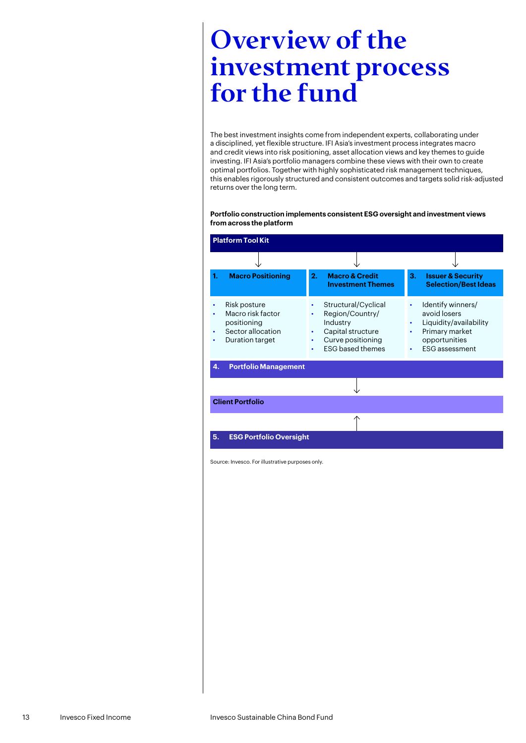# <span id="page-12-0"></span>Overview of the investment process for the fund

The best investment insights come from independent experts, collaborating under a disciplined, yet flexible structure. IFI Asia's investment process integrates macro and credit views into risk positioning, asset allocation views and key themes to guide investing. IFI Asia's portfolio managers combine these views with their own to create optimal portfolios. Together with highly sophisticated risk management techniques, this enables rigorously structured and consistent outcomes and targets solid risk-adjusted returns over the long term.

## **Portfolio construction implements consistent ESG oversight and investment views from across the platform**

| <b>Platform Tool Kit</b> |                                                                                          |                          |                                                                                                                         |                                                  |                                                                                                                         |
|--------------------------|------------------------------------------------------------------------------------------|--------------------------|-------------------------------------------------------------------------------------------------------------------------|--------------------------------------------------|-------------------------------------------------------------------------------------------------------------------------|
|                          |                                                                                          |                          |                                                                                                                         |                                                  |                                                                                                                         |
| 1.                       | <b>Macro Positioning</b>                                                                 | 2.                       | <b>Macro &amp; Credit</b><br><b>Investment Themes</b>                                                                   | З.                                               | <b>Issuer &amp; Security</b><br><b>Selection/Best Ideas</b>                                                             |
|                          | Risk posture<br>Macro risk factor<br>positioning<br>Sector allocation<br>Duration target | $\bullet$<br>٠<br>٠<br>٠ | Structural/Cyclical<br>Region/Country/<br>Industry<br>Capital structure<br>Curve positioning<br><b>ESG</b> based themes | $\bullet$<br>$\bullet$<br>$\bullet$<br>$\bullet$ | Identify winners/<br>avoid losers<br>Liquidity/availability<br>Primary market<br>opportunities<br><b>ESG</b> assessment |
| 4.                       | <b>Portfolio Management</b>                                                              |                          |                                                                                                                         |                                                  |                                                                                                                         |
|                          |                                                                                          |                          |                                                                                                                         |                                                  |                                                                                                                         |
| <b>Client Portfolio</b>  |                                                                                          |                          |                                                                                                                         |                                                  |                                                                                                                         |
|                          |                                                                                          |                          |                                                                                                                         |                                                  |                                                                                                                         |
| 5.                       | <b>ESG Portfolio Oversight</b>                                                           |                          |                                                                                                                         |                                                  |                                                                                                                         |

Source: Invesco. For illustrative purposes only.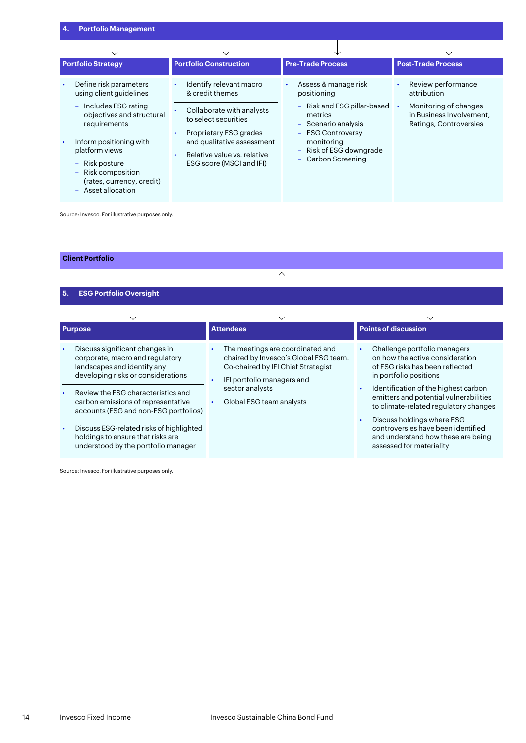| <b>Portfolio Management</b><br>4.                                                                                                                                                                                                                               |                                                                                                                                                                                                                                              |                                                                                                                                                                                                                                                |                                                                                                                  |
|-----------------------------------------------------------------------------------------------------------------------------------------------------------------------------------------------------------------------------------------------------------------|----------------------------------------------------------------------------------------------------------------------------------------------------------------------------------------------------------------------------------------------|------------------------------------------------------------------------------------------------------------------------------------------------------------------------------------------------------------------------------------------------|------------------------------------------------------------------------------------------------------------------|
|                                                                                                                                                                                                                                                                 |                                                                                                                                                                                                                                              |                                                                                                                                                                                                                                                |                                                                                                                  |
| <b>Portfolio Strategy</b>                                                                                                                                                                                                                                       | <b>Portfolio Construction</b>                                                                                                                                                                                                                | <b>Pre-Trade Process</b>                                                                                                                                                                                                                       | <b>Post-Trade Process</b>                                                                                        |
| Define risk parameters<br>using client guidelines<br>- Includes ESG rating<br>objectives and structural<br>requirements<br>Inform positioning with<br>platform views<br>- Risk posture<br>- Risk composition<br>(rates, currency, credit)<br>- Asset allocation | Identify relevant macro<br>$\bullet$<br>& credit themes<br>Collaborate with analysts<br>to select securities<br>Proprietary ESG grades<br>and qualitative assessment<br>Relative value vs. relative<br>$\bullet$<br>ESG score (MSCI and IFI) | Assess & manage risk<br>٠<br>positioning<br>Risk and ESG pillar-based<br>$\overline{\phantom{m}}$<br>metrics<br>- Scenario analysis<br><b>ESG Controversy</b><br>$\equiv$<br>monitoring<br>Risk of ESG downgrade<br>÷<br>Carbon Screening<br>÷ | Review performance<br>attribution<br>Monitoring of changes<br>in Business Involvement.<br>Ratings, Controversies |

Source: Invesco. For illustrative purposes only.

# **Client Portfolio**

| 5.        | <b>ESG Portfolio Oversight</b>                                                                                                         |                                                                                                                                               |                                                                                                                                    |
|-----------|----------------------------------------------------------------------------------------------------------------------------------------|-----------------------------------------------------------------------------------------------------------------------------------------------|------------------------------------------------------------------------------------------------------------------------------------|
|           |                                                                                                                                        |                                                                                                                                               |                                                                                                                                    |
|           | <b>Purpose</b>                                                                                                                         | <b>Attendees</b>                                                                                                                              | <b>Points of discussion</b>                                                                                                        |
| $\bullet$ | Discuss significant changes in<br>corporate, macro and regulatory<br>landscapes and identify any<br>developing risks or considerations | The meetings are coordinated and<br>chaired by Invesco's Global ESG team.<br>Co-chaired by IFI Chief Strategist<br>IFI portfolio managers and | Challenge portfolio managers<br>on how the active consideration<br>of ESG risks has been reflected<br>in portfolio positions       |
| ٠         | Review the ESG characteristics and<br>carbon emissions of representative<br>accounts (ESG and non-ESG portfolios)                      | sector analysts<br>Global ESG team analysts                                                                                                   | Identification of the highest carbon<br>emitters and potential vulnerabilities<br>to climate-related regulatory changes            |
| $\bullet$ | Discuss ESG-related risks of highlighted<br>holdings to ensure that risks are<br>understood by the portfolio manager                   |                                                                                                                                               | Discuss holdings where ESG<br>controversies have been identified<br>and understand how these are being<br>assessed for materiality |

Source: Invesco. For illustrative purposes only.